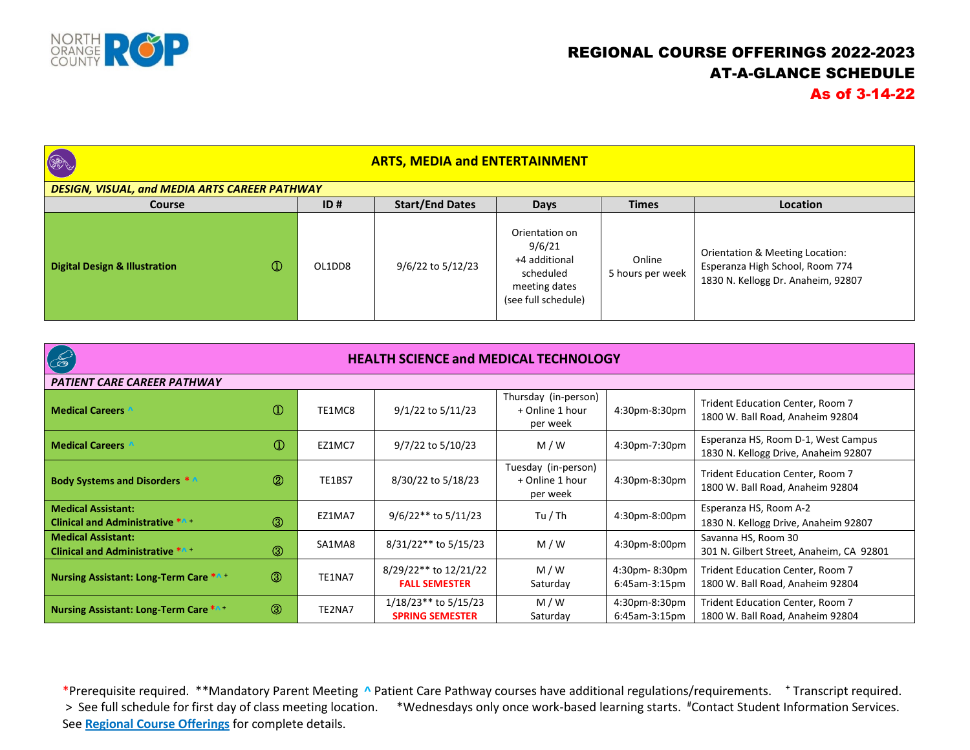

## REGIONAL COURSE OFFERINGS 2022-2023 AT-A-GLANCE SCHEDULE As of 3-14-22

| <b>BA</b>                                     |               |        | <b>ARTS, MEDIA and ENTERTAINMENT</b> |                                                                                                |                            |                                                                                                          |
|-----------------------------------------------|---------------|--------|--------------------------------------|------------------------------------------------------------------------------------------------|----------------------------|----------------------------------------------------------------------------------------------------------|
| DESIGN, VISUAL, and MEDIA ARTS CAREER PATHWAY |               |        |                                      |                                                                                                |                            |                                                                                                          |
| Course                                        |               | ID#    | <b>Start/End Dates</b>               | <b>Days</b>                                                                                    | <b>Times</b>               | Location                                                                                                 |
| <b>Digital Design &amp; Illustration</b>      | $\circled{1}$ | OL1DD8 | 9/6/22 to 5/12/23                    | Orientation on<br>9/6/21<br>+4 additional<br>scheduled<br>meeting dates<br>(see full schedule) | Online<br>5 hours per week | Orientation & Meeting Location:<br>Esperanza High School, Room 774<br>1830 N. Kellogg Dr. Anaheim, 92807 |

| $\infty$<br><b>HEALTH SCIENCE and MEDICAL TECHNOLOGY</b>            |                |        |                                                  |                                                     |                                   |                                                                             |  |
|---------------------------------------------------------------------|----------------|--------|--------------------------------------------------|-----------------------------------------------------|-----------------------------------|-----------------------------------------------------------------------------|--|
| PATIENT CARE CAREER PATHWAY                                         |                |        |                                                  |                                                     |                                   |                                                                             |  |
| <b>Medical Careers</b>                                              | $\circled{0}$  | TE1MC8 | 9/1/22 to 5/11/23                                | Thursday (in-person)<br>+ Online 1 hour<br>per week | 4:30pm-8:30pm                     | Trident Education Center, Room 7<br>1800 W. Ball Road, Anaheim 92804        |  |
| <b>Medical Careers</b>                                              | $^\circledR$   | EZ1MC7 | 9/7/22 to 5/10/23                                | M/W                                                 | 4:30pm-7:30pm                     | Esperanza HS, Room D-1, West Campus<br>1830 N. Kellogg Drive, Anaheim 92807 |  |
| <b>Body Systems and Disorders *</b>                                 | $\circledR$    | TE1BS7 | 8/30/22 to 5/18/23                               | Tuesday (in-person)<br>+ Online 1 hour<br>per week  | 4:30pm-8:30pm                     | Trident Education Center, Room 7<br>1800 W. Ball Road, Anaheim 92804        |  |
| <b>Medical Assistant:</b><br><b>Clinical and Administrative *^+</b> | $\circledcirc$ | EZ1MA7 | $9/6/22**$ to 5/11/23                            | Tu / Th                                             | 4:30pm-8:00pm                     | Esperanza HS, Room A-2<br>1830 N. Kellogg Drive, Anaheim 92807              |  |
| <b>Medical Assistant:</b><br><b>Clinical and Administrative *A+</b> | $\circledS$    | SA1MA8 | 8/31/22** to 5/15/23                             | M/W                                                 | 4:30pm-8:00pm                     | Savanna HS, Room 30<br>301 N. Gilbert Street, Anaheim, CA 92801             |  |
| <b>Nursing Assistant: Long-Term Care *A +</b>                       | $\circledS$    | TE1NA7 | 8/29/22** to 12/21/22<br><b>FALL SEMESTER</b>    | M/W<br>Saturday                                     | 4:30pm-8:30pm<br>$6:45$ am-3:15pm | Trident Education Center, Room 7<br>1800 W. Ball Road, Anaheim 92804        |  |
| <b>Nursing Assistant: Long-Term Care *A+</b>                        | $\circledcirc$ | TE2NA7 | $1/18/23**$ to 5/15/23<br><b>SPRING SEMESTER</b> | M/W<br>Saturday                                     | 4:30pm-8:30pm<br>$6:45$ am-3:15pm | Trident Education Center, Room 7<br>1800 W. Ball Road, Anaheim 92804        |  |

 \*Prerequisite required. \*\*Mandatory Parent Meeting **^** Patient Care Pathway courses have additional regulations/requirements. **<sup>+</sup>** Transcript required. > See full schedule for first day of class meeting location. \*Wednesdays only once work-based learning starts. #Contact Student Information Services. See **Regional Course Offerings** for complete details.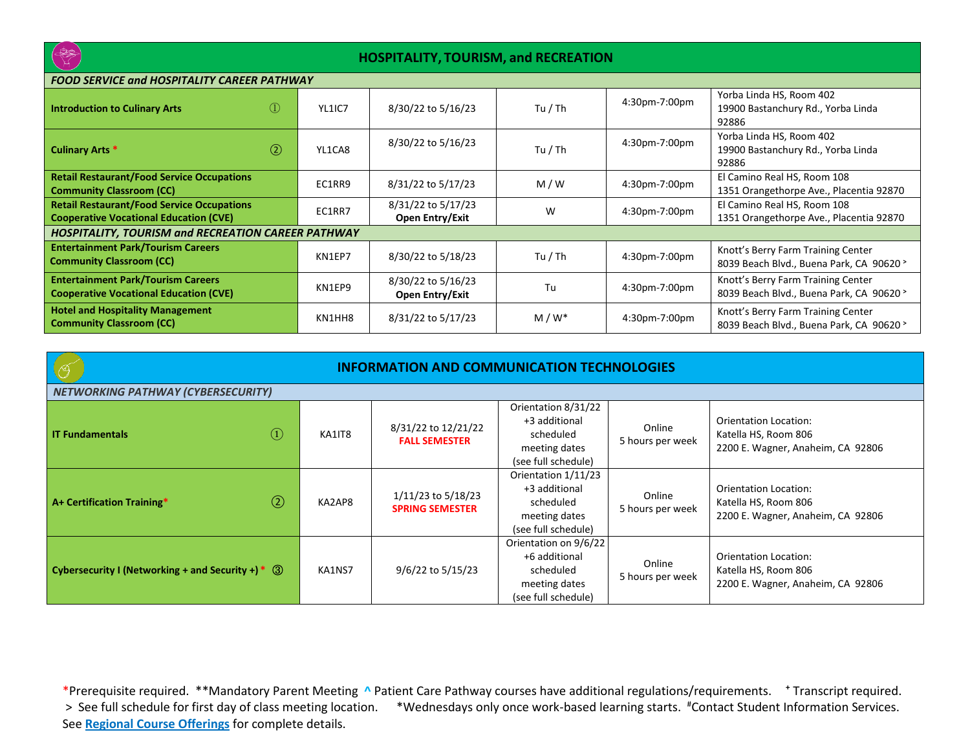

## **HOSPITALITY, TOURISM, and RECREATION**

| FOOD SERVICE and HOSPITALITY CAREER PATHWAY                                                        |               |        |                                              |         |               |                                                                                |
|----------------------------------------------------------------------------------------------------|---------------|--------|----------------------------------------------|---------|---------------|--------------------------------------------------------------------------------|
| <b>Introduction to Culinary Arts</b>                                                               | $\Omega$      | YL1IC7 | 8/30/22 to 5/16/23                           | Tu / Th | 4:30pm-7:00pm | Yorba Linda HS, Room 402<br>19900 Bastanchury Rd., Yorba Linda<br>92886        |
| <b>Culinary Arts *</b>                                                                             | $\circled{2}$ | YL1CA8 | 8/30/22 to 5/16/23                           | Tu / Th | 4:30pm-7:00pm | Yorba Linda HS, Room 402<br>19900 Bastanchury Rd., Yorba Linda<br>92886        |
| <b>Retail Restaurant/Food Service Occupations</b><br><b>Community Classroom (CC)</b>               |               | EC1RR9 | 8/31/22 to 5/17/23                           | M/W     | 4:30pm-7:00pm | El Camino Real HS, Room 108<br>1351 Orangethorpe Ave., Placentia 92870         |
| <b>Retail Restaurant/Food Service Occupations</b><br><b>Cooperative Vocational Education (CVE)</b> |               | EC1RR7 | 8/31/22 to 5/17/23<br>Open Entry/Exit        | W       | 4:30pm-7:00pm | El Camino Real HS, Room 108<br>1351 Orangethorpe Ave., Placentia 92870         |
| <b>HOSPITALITY, TOURISM and RECREATION CAREER PATHWAY</b>                                          |               |        |                                              |         |               |                                                                                |
| <b>Entertainment Park/Tourism Careers</b><br><b>Community Classroom (CC)</b>                       |               | KN1EP7 | 8/30/22 to 5/18/23                           | Tu / Th | 4:30pm-7:00pm | Knott's Berry Farm Training Center<br>8039 Beach Blvd., Buena Park, CA 90620 > |
| <b>Entertainment Park/Tourism Careers</b><br><b>Cooperative Vocational Education (CVE)</b>         |               | KN1EP9 | 8/30/22 to 5/16/23<br><b>Open Entry/Exit</b> | Tu      | 4:30pm-7:00pm | Knott's Berry Farm Training Center<br>8039 Beach Blvd., Buena Park, CA 90620 > |
| <b>Hotel and Hospitality Management</b><br><b>Community Classroom (CC)</b>                         |               | KN1HH8 | 8/31/22 to 5/17/23                           | $M/W^*$ | 4:30pm-7:00pm | Knott's Berry Farm Training Center<br>8039 Beach Blvd., Buena Park, CA 90620 > |

| <b>INFORMATION AND COMMUNICATION TECHNOLOGIES</b>   |               |        |                                              |                                                                                             |                            |                                                                                           |  |
|-----------------------------------------------------|---------------|--------|----------------------------------------------|---------------------------------------------------------------------------------------------|----------------------------|-------------------------------------------------------------------------------------------|--|
| <b>NETWORKING PATHWAY (CYBERSECURITY)</b>           |               |        |                                              |                                                                                             |                            |                                                                                           |  |
| <b>IT Fundamentals</b>                              | (1)           | KA1IT8 | 8/31/22 to 12/21/22<br><b>FALL SEMESTER</b>  | Orientation 8/31/22<br>+3 additional<br>scheduled<br>meeting dates<br>(see full schedule)   | Online<br>5 hours per week | <b>Orientation Location:</b><br>Katella HS, Room 806<br>2200 E. Wagner, Anaheim, CA 92806 |  |
| A+ Certification Training*                          | $\circled{2}$ | KA2AP8 | 1/11/23 to 5/18/23<br><b>SPRING SEMESTER</b> | Orientation 1/11/23<br>+3 additional<br>scheduled<br>meeting dates<br>(see full schedule)   | Online<br>5 hours per week | Orientation Location:<br>Katella HS, Room 806<br>2200 E. Wagner, Anaheim, CA 92806        |  |
| Cybersecurity I (Networking + and Security +) $*$ 3 |               | KA1NS7 | 9/6/22 to 5/15/23                            | Orientation on 9/6/22<br>+6 additional<br>scheduled<br>meeting dates<br>(see full schedule) | Online<br>5 hours per week | Orientation Location:<br>Katella HS, Room 806<br>2200 E. Wagner, Anaheim, CA 92806        |  |

 \*Prerequisite required. \*\*Mandatory Parent Meeting **^** Patient Care Pathway courses have additional regulations/requirements. **<sup>+</sup>** Transcript required. > See full schedule for first day of class meeting location. \*Wednesdays only once work-based learning starts. #Contact Student Information Services. See **Regional Course Offerings** for complete details.